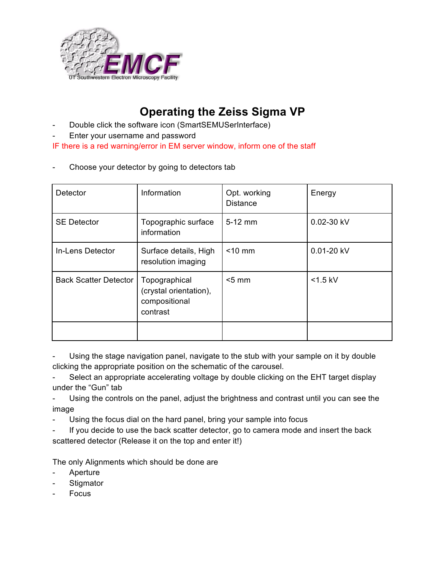

## **Operating the Zeiss Sigma VP**

- Double click the software icon (SmartSEMUSerInterface)
- Enter your username and password

IF there is a red warning/error in EM server window, inform one of the staff

Choose your detector by going to detectors tab

| Detector                     | Information                                                          | Opt. working<br><b>Distance</b> | Energy     |
|------------------------------|----------------------------------------------------------------------|---------------------------------|------------|
| <b>SE Detector</b>           | Topographic surface<br>information                                   | $5-12$ mm                       | 0.02-30 kV |
| In-Lens Detector             | Surface details, High<br>resolution imaging                          | $<$ 10 mm                       | 0.01-20 kV |
| <b>Back Scatter Detector</b> | Topographical<br>(crystal orientation),<br>compositional<br>contrast | $<$ 5 mm                        | $<$ 1.5 kV |
|                              |                                                                      |                                 |            |

Using the stage navigation panel, navigate to the stub with your sample on it by double clicking the appropriate position on the schematic of the carousel.

Select an appropriate accelerating voltage by double clicking on the EHT target display under the "Gun" tab

Using the controls on the panel, adjust the brightness and contrast until you can see the image

- Using the focus dial on the hard panel, bring your sample into focus
- If you decide to use the back scatter detector, go to camera mode and insert the back scattered detector (Release it on the top and enter it!)

The only Alignments which should be done are

- **Aperture**
- **Stigmator**
- Focus